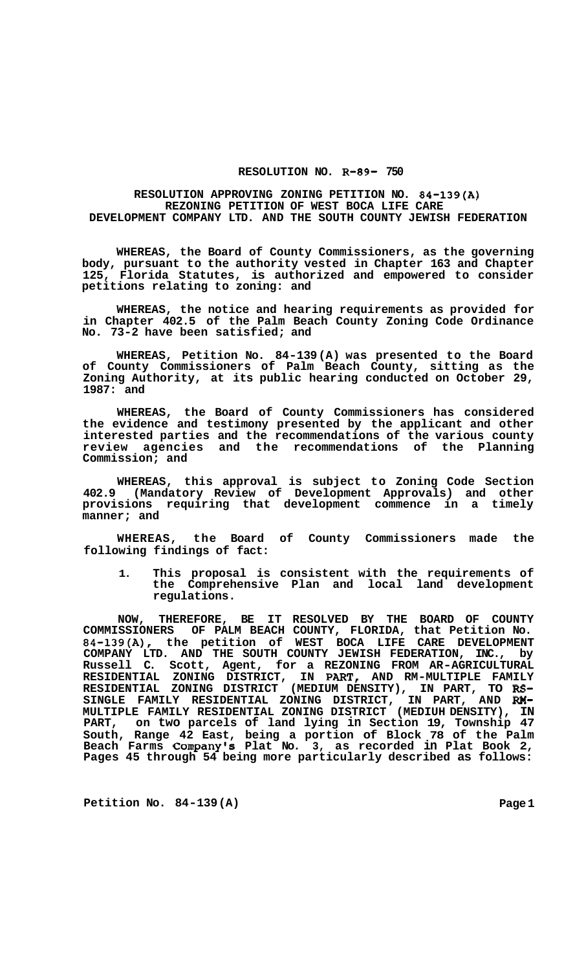#### **RESOLUTION NO. R-89- 750**

# **RESOLUTION APPROVING ZONING PETITION NO. 84-139(A) REZONING PETITION OF WEST BOCA LIFE CARE DEVELOPMENT COMPANY LTD. AND THE SOUTH COUNTY JEWISH FEDERATION**

**WHEREAS, the Board of County Commissioners, as the governing body, pursuant to the authority vested in Chapter 163 and Chapter 125, Florida Statutes, is authorized and empowered to consider petitions relating to zoning: and** 

**WHEREAS, the notice and hearing requirements as provided for in Chapter 402.5 of the Palm Beach County Zoning Code Ordinance No. 73-2 have been satisfied; and** 

**WHEREAS, Petition No. 84-139 (A) was presented to the Board of County Commissioners of Palm Beach County, sitting as the Zoning Authority, at its public hearing conducted on October 29, 1987: and** 

**WHEREAS, the Board of County Commissioners has considered the evidence and testimony presented by the applicant and other interested parties and the recommendations of the various county review agencies and the recommendations of the Planning Commission; and** 

**WHEREAS, this approval is subject to Zoning Code Section 402.9 (Mandatory Review of Development Approvals) and other provisions requiring that development commence in a timely manner; and** 

**WHEREAS, the Board of County Commissioners made the following findings of fact:** 

**1. This proposal is consistent with the requirements of the Comprehensive Plan and local land development regulations.** 

**NOW, THEREFORE, BE IT RESOLVED BY THE BOARD OF COUNTY COMMISSIONERS OF PALM BEACH COUNTY, FLORIDA, that Petition No. 84-139(A), the petition of WEST BOCA LIFE CARE DEVELOPMENT COMPANY LTD. AND THE SOUTH COUNTY JEWISH FEDERATION, INC., by Russell C. Scott, Agent, for a REZONING FROM AR-AGRICULTURAL RESIDENTIAL ZONING DISTRICT, IN PART, AND RM-MULTIPLE FAMILY RESIDENTIAL ZONING DISTRICT (MEDIUM DENSITY), IN PART, TO RS-SINGLE FAMILY RESIDENTIAL ZONING DISTRICT, IN PART, AND RM-MULTIPLE FAMILY RESIDENTIAL ZONING DISTRICT (MEDIUH DENSITY), IN PART, on two parcels of land lying in Section 19, Township 47 South, Range 42 East, being a portion of Block 78 of the Palm Beach Farms Company's Plat No. 3, as recorded in Plat Book 2, Pages 45 through 54 being more particularly described as follows:** 

Petition No. 84-139(A) Petition No. 84-139(A)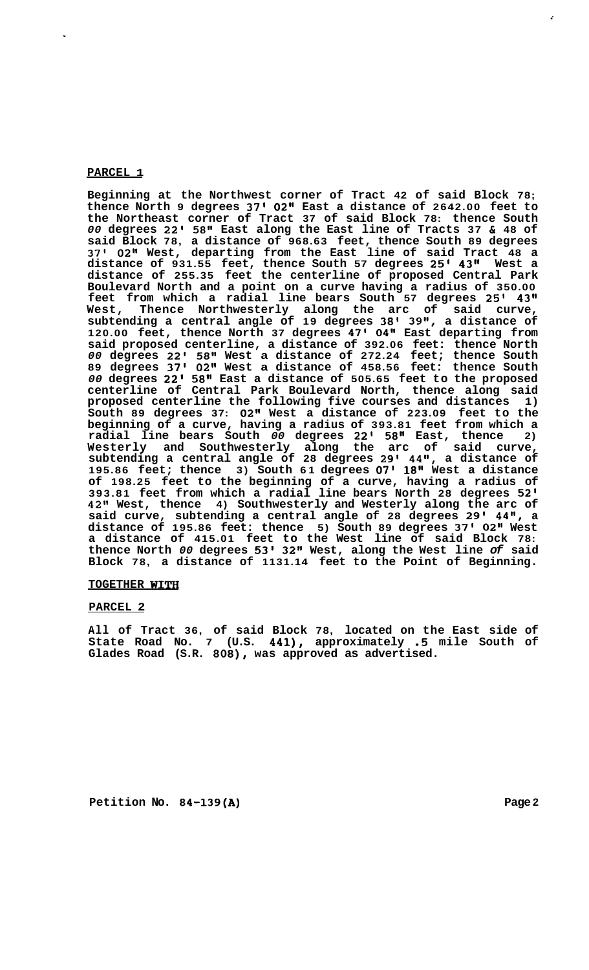# **PARCEL 1**

**Beginning at the Northwest corner of Tract 42 of said Block 78; thence North 9 degrees 37' 02" East a distance of 2642.00 feet to the Northeast corner of Tract 37 of said Block 78: thence South**  *00* **degrees 22' 58" East along the East line of Tracts 37** & **48 of said Block 78, a distance of 968.63 feet, thence South 89 degrees 37' 02" West, departing from the East line of said Tract 48 a distance of 931.55 feet, thence South 57 degrees 25' 43'' West a distance of 255.35 feet the centerline of proposed Central Park Boulevard North and a point on a curve having a radius of 350.00 feet from which a radial line bears South 57 degrees 25' 43" West, Thence Northwesterly along the arc of said curve, subtending a central angle of 19 degrees 38' 39", a distance of 120.00 feet, thence North 37 degrees 47' 04'' East departing from said proposed centerline, a distance of 392.06 feet: thence North**  *00* **degrees 22' 58" West a distance of 272.24 feet; thence South 89 degrees 37' 02" West a distance of 458.56 feet: thence South**  *00* **degrees 22' 58'' East a distance of 505.65 feet to the proposed centerline of Central Park Boulevard North, thence along said proposed centerline the following five courses and distances 1) South 89 degrees 37: 02" West a distance of 223.09 feet to the beginning of a curve, having a radius of 393.81 feet from which a radial line bears South** *00* **degrees 22' 58" East, thence 2) Westerly and Southwesterly along the arc of said curve, subtending a central angle of 28 degrees 29' 44", a distance of 195.86 feet; thence 3) South 61 degrees 07' 18" West a distance of 198.25 feet to the beginning of a curve, having a radius of 393.81 feet from which a radial line bears North 28 degrees 52' 42" West, thence 4) Southwesterly and Westerly along the arc of said curve, subtending a central angle of 28 degrees 29' 44", a distance of 195.86 feet: thence 5) South 89 degrees 37' 02'' West a distance of 415.01 feet to the West line of said Block 78: thence North** *00* **degrees 53' 32" West, along the West line** *of* **said Block 78, a distance of 1131.14 feet to the Point of Beginning.** 

#### **TOGETHER WITH**

### **PARCEL 2**

**All of Tract 36, of said Block 78, located on the East side of State Road No. 7 (U.S. 441), approximately .5 mile South of Glades Road (S.R. 808), was approved as advertised.** 

**Petition No. 84-139(A) Page 2**